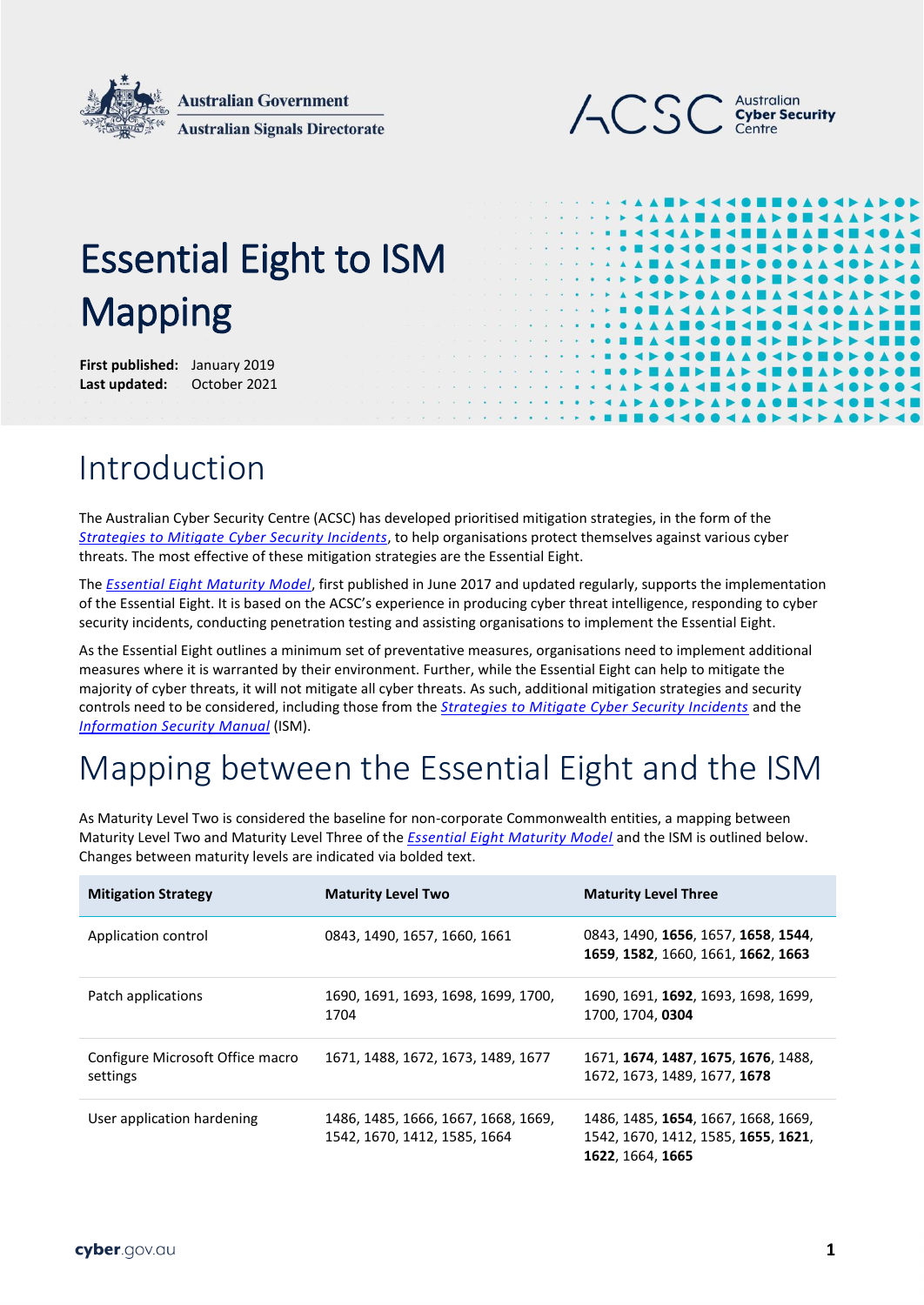



# Essential Eight to ISM Mapping

**First published:** January 2019 Last updated: October 2021

## Introduction

The Australian Cyber Security Centre (ACSC) has developed prioritised mitigation strategies, in the form of the *[Strategies to Mitigate Cyber Security Incidents](https://www.cyber.gov.au/acsc/view-all-content/strategies-to-mitigate-cyber-security-incidents)*, to help organisations protect themselves against various cyber threats. The most effective of these mitigation strategies are the Essential Eight.

The *[Essential Eight Maturity Model](https://www.cyber.gov.au/acsc/view-all-content/publications/essential-eight-maturity-model)*, first published in June 2017 and updated regularly, supports the implementation of the Essential Eight. It is based on the ACSC's experience in producing cyber threat intelligence, responding to cyber security incidents, conducting penetration testing and assisting organisations to implement the Essential Eight.

As the Essential Eight outlines a minimum set of preventative measures, organisations need to implement additional measures where it is warranted by their environment. Further, while the Essential Eight can help to mitigate the majority of cyber threats, it will not mitigate all cyber threats. As such, additional mitigation strategies and security controls need to be considered, including those from the *[Strategies to Mitigate Cyber Security Incidents](https://www.cyber.gov.au/acsc/view-all-content/strategies-to-mitigate-cyber-security-incidents)* and the *[Information Security Manual](https://www.cyber.gov.au/acsc/view-all-content/ism)* (ISM).

## Mapping between the Essential Eight and the ISM

As Maturity Level Two is considered the baseline for non-corporate Commonwealth entities, a mapping between Maturity Level Two and Maturity Level Three of the *[Essential Eight Maturity Model](https://www.cyber.gov.au/acsc/view-all-content/publications/essential-eight-maturity-model)* and the ISM is outlined below. Changes between maturity levels are indicated via bolded text.

| <b>Mitigation Strategy</b>                   | <b>Maturity Level Two</b>                                           | <b>Maturity Level Three</b>                                                                    |
|----------------------------------------------|---------------------------------------------------------------------|------------------------------------------------------------------------------------------------|
| Application control                          | 0843, 1490, 1657, 1660, 1661                                        | 0843, 1490, 1656, 1657, 1658, 1544,<br>1659, 1582, 1660, 1661, 1662, 1663                      |
| Patch applications                           | 1690, 1691, 1693, 1698, 1699, 1700,<br>1704                         | 1690, 1691, 1692, 1693, 1698, 1699,<br>1700, 1704, 0304                                        |
| Configure Microsoft Office macro<br>settings | 1671, 1488, 1672, 1673, 1489, 1677                                  | 1671, 1674, 1487, 1675, 1676, 1488,<br>1672, 1673, 1489, 1677, 1678                            |
| User application hardening                   | 1486, 1485, 1666, 1667, 1668, 1669,<br>1542, 1670, 1412, 1585, 1664 | 1486, 1485, 1654, 1667, 1668, 1669,<br>1542, 1670, 1412, 1585, 1655, 1621,<br>1622, 1664, 1665 |